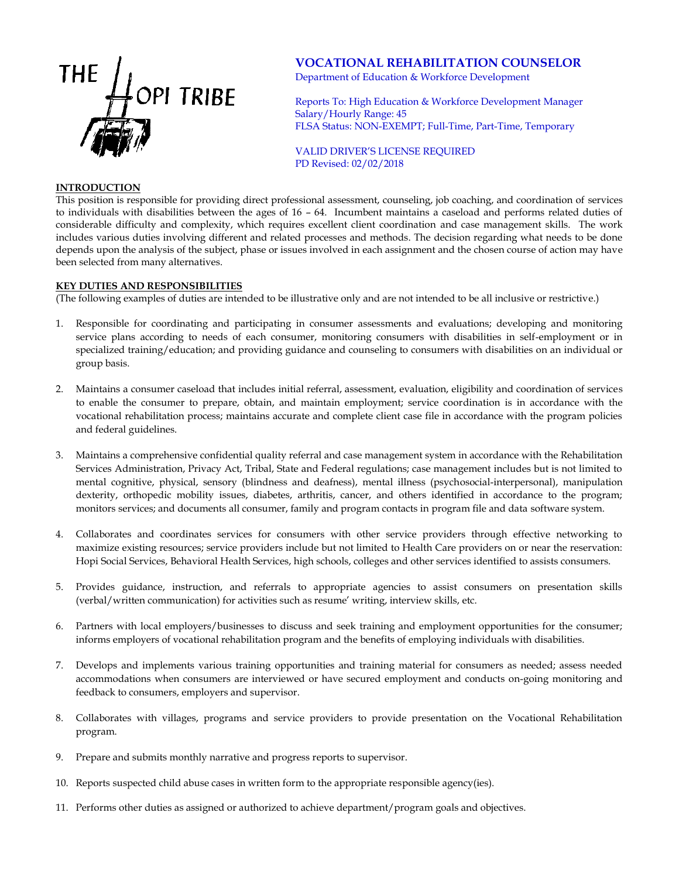

# **VOCATIONAL REHABILITATION COUNSELOR**

Department of Education & Workforce Development

Reports To: High Education & Workforce Development Manager Salary/Hourly Range: 45 FLSA Status: NON-EXEMPT; Full-Time, Part-Time, Temporary

VALID DRIVER'S LICENSE REQUIRED PD Revised: 02/02/2018

#### **INTRODUCTION**

This position is responsible for providing direct professional assessment, counseling, job coaching, and coordination of services to individuals with disabilities between the ages of 16 – 64. Incumbent maintains a caseload and performs related duties of considerable difficulty and complexity, which requires excellent client coordination and case management skills. The work includes various duties involving different and related processes and methods. The decision regarding what needs to be done depends upon the analysis of the subject, phase or issues involved in each assignment and the chosen course of action may have been selected from many alternatives.

## **KEY DUTIES AND RESPONSIBILITIES**

(The following examples of duties are intended to be illustrative only and are not intended to be all inclusive or restrictive.)

- 1. Responsible for coordinating and participating in consumer assessments and evaluations; developing and monitoring service plans according to needs of each consumer, monitoring consumers with disabilities in self-employment or in specialized training/education; and providing guidance and counseling to consumers with disabilities on an individual or group basis.
- 2. Maintains a consumer caseload that includes initial referral, assessment, evaluation, eligibility and coordination of services to enable the consumer to prepare, obtain, and maintain employment; service coordination is in accordance with the vocational rehabilitation process; maintains accurate and complete client case file in accordance with the program policies and federal guidelines.
- 3. Maintains a comprehensive confidential quality referral and case management system in accordance with the Rehabilitation Services Administration, Privacy Act, Tribal, State and Federal regulations; case management includes but is not limited to mental cognitive, physical, sensory (blindness and deafness), mental illness (psychosocial-interpersonal), manipulation dexterity, orthopedic mobility issues, diabetes, arthritis, cancer, and others identified in accordance to the program; monitors services; and documents all consumer, family and program contacts in program file and data software system.
- 4. Collaborates and coordinates services for consumers with other service providers through effective networking to maximize existing resources; service providers include but not limited to Health Care providers on or near the reservation: Hopi Social Services, Behavioral Health Services, high schools, colleges and other services identified to assists consumers.
- 5. Provides guidance, instruction, and referrals to appropriate agencies to assist consumers on presentation skills (verbal/written communication) for activities such as resume' writing, interview skills, etc.
- 6. Partners with local employers/businesses to discuss and seek training and employment opportunities for the consumer; informs employers of vocational rehabilitation program and the benefits of employing individuals with disabilities.
- 7. Develops and implements various training opportunities and training material for consumers as needed; assess needed accommodations when consumers are interviewed or have secured employment and conducts on-going monitoring and feedback to consumers, employers and supervisor.
- 8. Collaborates with villages, programs and service providers to provide presentation on the Vocational Rehabilitation program.
- 9. Prepare and submits monthly narrative and progress reports to supervisor.
- 10. Reports suspected child abuse cases in written form to the appropriate responsible agency(ies).
- 11. Performs other duties as assigned or authorized to achieve department/program goals and objectives.